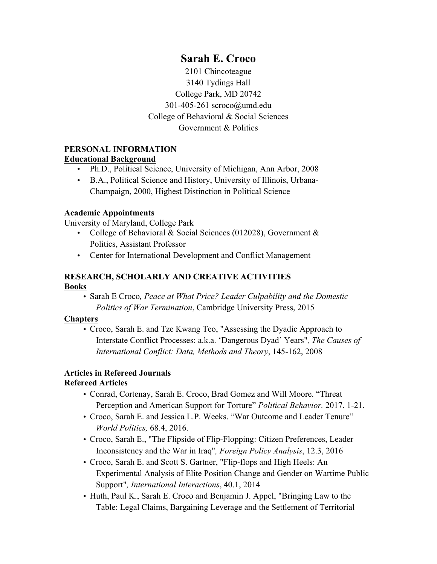# **Sarah E. Croco**

2101 Chincoteague 3140 Tydings Hall College Park, MD 20742 301-405-261 scroco@umd.edu College of Behavioral & Social Sciences Government & Politics

# **PERSONAL INFORMATION**

#### **Educational Background**

- Ph.D., Political Science, University of Michigan, Ann Arbor, 2008
- B.A., Political Science and History, University of Illinois, Urbana-Champaign, 2000, Highest Distinction in Political Science

### **Academic Appointments**

University of Maryland, College Park

- College of Behavioral & Social Sciences (012028), Government & Politics, Assistant Professor
- Center for International Development and Conflict Management

# **RESEARCH, SCHOLARLY AND CREATIVE ACTIVITIES Books**

• Sarah E Croco*, Peace at What Price? Leader Culpability and the Domestic Politics of War Termination*, Cambridge University Press, 2015

#### **Chapters**

• Croco, Sarah E. and Tze Kwang Teo, "Assessing the Dyadic Approach to Interstate Conflict Processes: a.k.a. 'Dangerous Dyad' Years"*, The Causes of International Conflict: Data, Methods and Theory*, 145-162, 2008

# **Articles in Refereed Journals**

# **Refereed Articles**

- Conrad, Cortenay, Sarah E. Croco, Brad Gomez and Will Moore. "Threat Perception and American Support for Torture" *Political Behavior.* 2017. 1-21.
- Croco, Sarah E. and Jessica L.P. Weeks. "War Outcome and Leader Tenure" *World Politics,* 68.4, 2016.
- Croco, Sarah E., "The Flipside of Flip-Flopping: Citizen Preferences, Leader Inconsistency and the War in Iraq"*, Foreign Policy Analysis*, 12.3, 2016
- Croco, Sarah E. and Scott S. Gartner, "Flip-flops and High Heels: An Experimental Analysis of Elite Position Change and Gender on Wartime Public Support"*, International Interactions*, 40.1, 2014
- Huth, Paul K., Sarah E. Croco and Benjamin J. Appel, "Bringing Law to the Table: Legal Claims, Bargaining Leverage and the Settlement of Territorial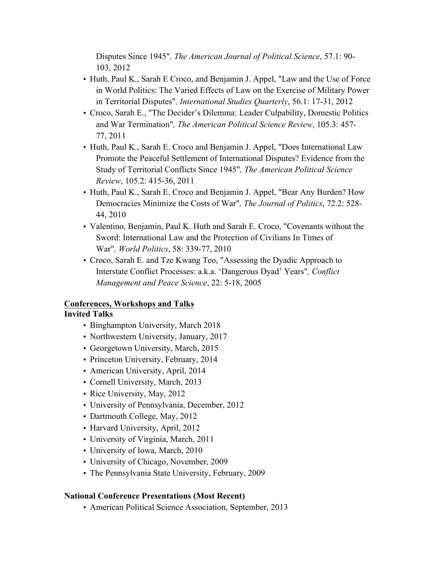Disputes Since 1945"*, The American Journal of Political Science*, 57.1: 90- 103, 2012

- Huth, Paul K., Sarah E Croco, and Benjamin J. Appel, "Law and the Use of Force in World Politics: The Varied Effects of Law on the Exercise of Military Power in Territorial Disputes"*, International Studies Quarterly*, 56.1: 17-31, 2012
- Croco, Sarah E., "The Decider's Dilemma: Leader Culpability, Domestic Politics and War Termination"*, The American Political Science Review*, 105.3: 457- 77, 2011
- Huth, Paul K., Sarah E. Croco and Benjamin J. Appel, "Does International Law Promote the Peaceful Settlement of International Disputes? Evidence from the Study of Territorial Conflicts Since 1945"*, The American Political Science Review*, 105.2: 415-36, 2011
- Huth, Paul K., Sarah E. Croco and Benjamin J. Appel, "Bear Any Burden? How Democracies Minimize the Costs of War"*, The Journal of Politics*, 72.2: 528- 44, 2010
- Valentino, Benjamin, Paul K. Huth and Sarah E. Croco, "Covenants without the Sword: International Law and the Protection of Civilians In Times of War"*, World Politics*, 58: 339-77, 2010
- Croco, Sarah E. and Tze Kwang Teo, "Assessing the Dyadic Approach to Interstate Conflict Processes: a.k.a. 'Dangerous Dyad' Years"*, Conflict Management and Peace Science*, 22: 5-18, 2005

# **Conferences, Workshops and Talks**

# **Invited Talks**

- Binghampton University, March 2018
- Northwestern University, January, 2017
- Georgetown University, March, 2015
- Princeton University, February, 2014
- American University, April, 2014
- Cornell University, March, 2013
- Rice University, May, 2012
- University of Pennsylvania, December, 2012
- Dartmouth College, May, 2012
- Harvard University, April, 2012
- University of Virginia, March, 2011
- University of Iowa, March, 2010
- University of Chicago, November, 2009
- The Pennsylvania State University, February, 2009

#### **National Conference Presentations (Most Recent)**

• American Political Science Association, September, 2013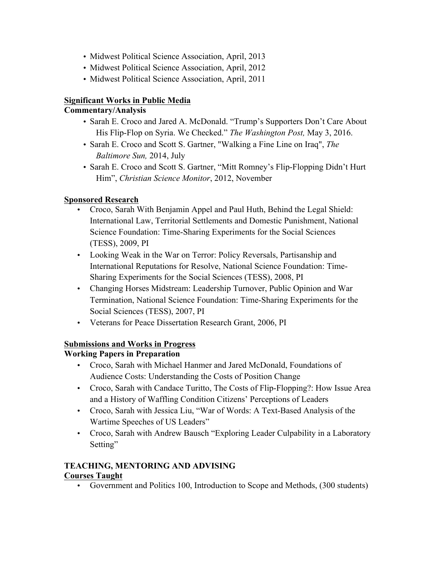- Midwest Political Science Association, April, 2013
- Midwest Political Science Association, April, 2012
- Midwest Political Science Association, April, 2011

# **Significant Works in Public Media**

#### **Commentary/Analysis**

- Sarah E. Croco and Jared A. McDonald. "Trump's Supporters Don't Care About His Flip-Flop on Syria. We Checked." *The Washington Post,* May 3, 2016.
- Sarah E. Croco and Scott S. Gartner, "Walking a Fine Line on Iraq", *The Baltimore Sun,* 2014, July
- Sarah E. Croco and Scott S. Gartner, "Mitt Romney's Flip-Flopping Didn't Hurt Him", *Christian Science Monitor*, 2012, November

### **Sponsored Research**

- Croco, Sarah With Benjamin Appel and Paul Huth, Behind the Legal Shield: International Law, Territorial Settlements and Domestic Punishment, National Science Foundation: Time-Sharing Experiments for the Social Sciences (TESS), 2009, PI
- Looking Weak in the War on Terror: Policy Reversals, Partisanship and International Reputations for Resolve, National Science Foundation: Time-Sharing Experiments for the Social Sciences (TESS), 2008, PI
- Changing Horses Midstream: Leadership Turnover, Public Opinion and War Termination, National Science Foundation: Time-Sharing Experiments for the Social Sciences (TESS), 2007, PI
- Veterans for Peace Dissertation Research Grant, 2006, PI

# **Submissions and Works in Progress**

# **Working Papers in Preparation**

- Croco, Sarah with Michael Hanmer and Jared McDonald, Foundations of Audience Costs: Understanding the Costs of Position Change
- Croco, Sarah with Candace Turitto, The Costs of Flip-Flopping?: How Issue Area and a History of Waffling Condition Citizens' Perceptions of Leaders
- Croco, Sarah with Jessica Liu, "War of Words: A Text-Based Analysis of the Wartime Speeches of US Leaders"
- Croco, Sarah with Andrew Bausch "Exploring Leader Culpability in a Laboratory Setting"

#### **TEACHING, MENTORING AND ADVISING Courses Taught**

• Government and Politics 100, Introduction to Scope and Methods, (300 students)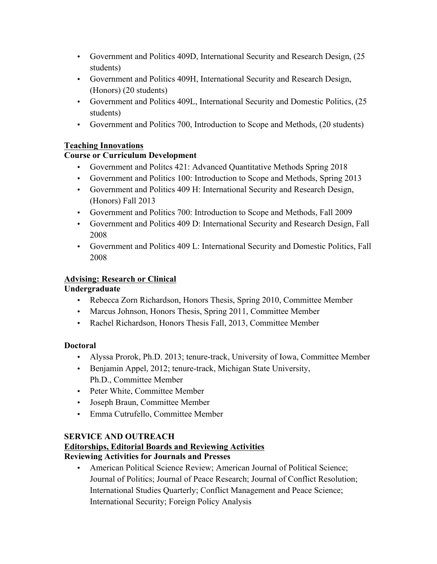- Government and Politics 409D, International Security and Research Design, (25 students)
- Government and Politics 409H, International Security and Research Design, (Honors) (20 students)
- Government and Politics 409L, International Security and Domestic Politics, (25 students)
- Government and Politics 700, Introduction to Scope and Methods, (20 students)

# **Teaching Innovations**

# **Course or Curriculum Development**

- Government and Politcs 421: Advanced Quantitative Methods Spring 2018
- Government and Politics 100: Introduction to Scope and Methods, Spring 2013
- Government and Politics 409 H: International Security and Research Design, (Honors) Fall 2013
- Government and Politics 700: Introduction to Scope and Methods, Fall 2009
- Government and Politics 409 D: International Security and Research Design, Fall 2008
- Government and Politics 409 L: International Security and Domestic Politics, Fall 2008

# **Advising: Research or Clinical**

# **Undergraduate**

- Rebecca Zorn Richardson, Honors Thesis, Spring 2010, Committee Member
- Marcus Johnson, Honors Thesis, Spring 2011, Committee Member
- Rachel Richardson, Honors Thesis Fall, 2013, Committee Member

# **Doctoral**

- Alyssa Prorok, Ph.D. 2013; tenure-track, University of Iowa, Committee Member
- Benjamin Appel, 2012; tenure-track, Michigan State University, Ph.D., Committee Member
- Peter White, Committee Member
- Joseph Braun, Committee Member
- Emma Cutrufello, Committee Member

# **SERVICE AND OUTREACH**

# **Editorships, Editorial Boards and Reviewing Activities**

# **Reviewing Activities for Journals and Presses**

• American Political Science Review; American Journal of Political Science; Journal of Politics; Journal of Peace Research; Journal of Conflict Resolution; International Studies Quarterly; Conflict Management and Peace Science; International Security; Foreign Policy Analysis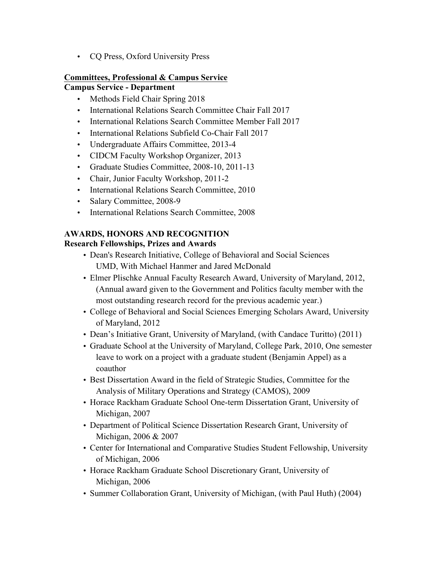• CQ Press, Oxford University Press

#### **Committees, Professional & Campus Service Campus Service - Department**

- Methods Field Chair Spring 2018
- International Relations Search Committee Chair Fall 2017
- International Relations Search Committee Member Fall 2017
- International Relations Subfield Co-Chair Fall 2017
- Undergraduate Affairs Committee, 2013-4
- CIDCM Faculty Workshop Organizer, 2013
- Graduate Studies Committee, 2008-10, 2011-13
- Chair, Junior Faculty Workshop, 2011-2
- International Relations Search Committee, 2010
- Salary Committee, 2008-9
- International Relations Search Committee, 2008

# **AWARDS, HONORS AND RECOGNITION**

### **Research Fellowships, Prizes and Awards**

- Dean's Research Initiative, College of Behavioral and Social Sciences UMD, With Michael Hanmer and Jared McDonald
- Elmer Plischke Annual Faculty Research Award, University of Maryland, 2012, (Annual award given to the Government and Politics faculty member with the most outstanding research record for the previous academic year.)
- College of Behavioral and Social Sciences Emerging Scholars Award, University of Maryland, 2012
- Dean's Initiative Grant, University of Maryland, (with Candace Turitto) (2011)
- Graduate School at the University of Maryland, College Park, 2010, One semester leave to work on a project with a graduate student (Benjamin Appel) as a coauthor
- Best Dissertation Award in the field of Strategic Studies, Committee for the Analysis of Military Operations and Strategy (CAMOS), 2009
- Horace Rackham Graduate School One-term Dissertation Grant, University of Michigan, 2007
- Department of Political Science Dissertation Research Grant, University of Michigan, 2006 & 2007
- Center for International and Comparative Studies Student Fellowship, University of Michigan, 2006
- Horace Rackham Graduate School Discretionary Grant, University of Michigan, 2006
- Summer Collaboration Grant, University of Michigan, (with Paul Huth) (2004)